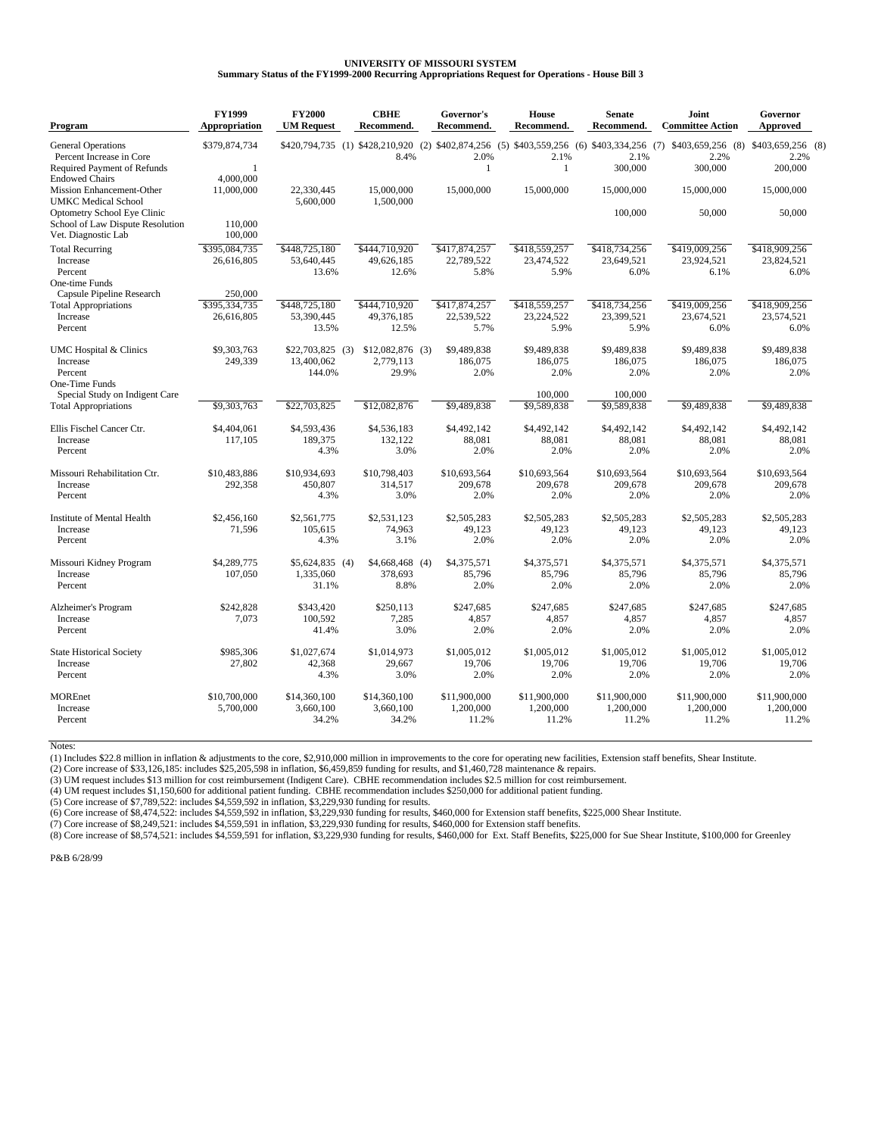## **UNIVERSITY OF MISSOURI SYSTEM Summary Status of the FY1999-2000 Recurring Appropriations Request for Operations - House Bill 3**

| <b>General Operations</b><br>\$379,874,734<br>\$420,794,735 (1) \$428,210,920<br>$(2)$ \$402,874,256 (5) \$403,559,256 (6) \$403,334,256 (7) \$403,659,256 (8)<br>\$403,659,256 (8)<br>Percent Increase in Core<br>8.4%<br>2.0%<br>2.1%<br>2.1%<br>2.2%<br>2.2%<br>300,000<br>300,000<br><b>Required Payment of Refunds</b><br>$\mathbf{1}$<br>200,000<br>-1<br>1<br>4,000,000<br><b>Endowed Chairs</b><br><b>Mission Enhancement-Other</b><br>11,000,000<br>22,330,445<br>15,000,000<br>15,000,000<br>15,000,000<br>15,000,000<br>15,000,000<br>15,000,000<br>5.600,000<br><b>UMKC</b> Medical School<br>1,500,000<br>Optometry School Eye Clinic<br>100,000<br>50,000<br>50,000<br>School of Law Dispute Resolution<br>110,000<br>Vet. Diagnostic Lab<br>100,000<br>\$395,084,735<br>\$448,725,180<br>\$444,710,920<br>\$417,874,257<br>\$418,559,257<br>\$418,734,256<br>\$419,009,256<br>\$418,909,256<br><b>Total Recurring</b><br>22,789,522<br>23,474,522<br>23,649,521<br>23,924,521<br>Increase<br>26,616,805<br>53,640,445<br>49,626,185<br>23,824,521<br>Percent<br>13.6%<br>12.6%<br>5.8%<br>5.9%<br>6.0%<br>6.1%<br>6.0%<br>One-time Funds<br>Capsule Pipeline Research<br>250,000<br>\$448,725,180<br>\$418,734,256<br>\$419,009,256<br>\$395,334,735<br>\$444,710,920<br>\$417,874,257<br>\$418,559,257<br>\$418,909,256<br><b>Total Appropriations</b><br>Increase<br>26,616,805<br>53,390,445<br>49,376,185<br>22,539,522<br>23,224,522<br>23,399,521<br>23,674,521<br>23,574,521<br>5.9%<br>5.9%<br>Percent<br>13.5%<br>12.5%<br>5.7%<br>6.0%<br>6.0%<br>\$9,303,763<br>$$12,082,876$ (3)<br>\$9,489,838<br>\$9,489,838<br>\$9,489,838<br>\$9,489,838<br>\$9,489,838<br>UMC Hospital & Clinics<br>$$22.703.825$ (3)<br>249,339<br>13,400,062<br>2.779,113<br>186,075<br>186,075<br>186,075<br>186,075<br>186,075<br>Increase<br>29.9%<br>Percent<br>144.0%<br>2.0%<br>2.0%<br>2.0%<br>2.0%<br>2.0%<br><b>One-Time Funds</b><br>Special Study on Indigent Care<br>100,000<br>100,000<br>\$9,303,763<br>\$22,703,825<br>\$12,082,876<br>\$9,489,838<br>\$9,589,838<br>\$9,589,838<br>\$9,489,838<br>\$9,489,838<br><b>Total Appropriations</b><br>\$4,404,061<br>\$4,536,183<br>\$4,492,142<br>\$4,492,142<br>\$4,492,142<br>\$4,492,142<br>Ellis Fischel Cancer Ctr.<br>\$4,593,436<br>\$4,492,142<br>117,105<br>189,375<br>132.122<br>88,081<br>88,081<br>88,081<br>88,081<br>88,081<br>Increase<br>4.3%<br>3.0%<br>2.0%<br>2.0%<br>2.0%<br>2.0%<br>2.0%<br>Percent<br>\$10,798,403<br>\$10,693,564<br>\$10,693,564<br>Missouri Rehabilitation Ctr.<br>\$10,483,886<br>\$10.934.693<br>\$10,693,564<br>\$10,693,564<br>\$10,693,564<br>292,358<br>450,807<br>314,517<br>209,678<br>209,678<br>209,678<br>209,678<br>209,678<br>Increase<br>4.3%<br>3.0%<br>2.0%<br>2.0%<br>2.0%<br>2.0%<br>2.0%<br>Percent<br>\$2,561,775<br>\$2,531,123<br>\$2,505,283<br>\$2,505,283<br>Institute of Mental Health<br>\$2,456,160<br>\$2,505,283<br>\$2,505,283<br>\$2,505,283<br>74,963<br>49.123<br>49.123<br>49.123<br>49.123<br>49.123<br><b>Increase</b><br>71.596<br>105.615<br>4.3%<br>3.1%<br>2.0%<br>2.0%<br>2.0%<br>2.0%<br>2.0%<br>Percent<br>\$4,289,775<br>\$4,668,468<br>\$4,375,571<br>\$4,375,571<br>\$4,375,571<br>\$4,375,571<br>\$4,375,571<br>Missouri Kidney Program<br>\$5,624,835<br>(4)<br>(4)<br>1,335,060<br>85,796<br>85,796<br>85,796<br>Increase<br>107,050<br>378,693<br>85,796<br>85,796<br>31.1%<br>8.8%<br>2.0%<br>2.0%<br>2.0%<br>2.0%<br>2.0%<br>Percent<br>\$242,828<br>\$250.113<br>\$247.685<br>\$247,685<br>\$247.685<br>\$247.685<br>\$247,685<br>Alzheimer's Program<br>\$343,420<br>7,073<br>100,592<br>7,285<br>4,857<br>4,857<br>4,857<br>4,857<br>4,857<br>Increase<br>2.0%<br>2.0%<br>Percent<br>41.4%<br>3.0%<br>2.0%<br>2.0%<br>2.0%<br>\$985,306<br>\$1,027,674<br>\$1,014,973<br>\$1,005,012<br>\$1,005,012<br>\$1,005,012<br>\$1,005,012<br>\$1,005,012<br><b>State Historical Society</b><br>27,802<br>42,368<br>29,667<br>19,706<br>19,706<br>19,706<br>19,706<br>19,706<br>Increase<br>2.0%<br>2.0%<br>4.3%<br>3.0%<br>2.0%<br>2.0%<br>2.0%<br>Percent<br><b>MOREnet</b><br>\$10,700,000<br>\$14,360,100<br>\$14,360,100<br>\$11,900,000<br>\$11,900,000<br>\$11,900,000<br>\$11,900,000<br>\$11,900,000<br>1.200.000<br>1.200.000<br>1.200.000<br>1,200,000<br>Increase<br>5,700,000<br>3.660.100<br>3.660.100<br>1.200.000<br>34.2%<br>34.2%<br>11.2%<br>11.2%<br>Percent<br>11.2%<br>11.2%<br>11.2% | Program | <b>FY1999</b><br>Appropriation | <b>FY2000</b><br><b>UM Request</b> | <b>CBHE</b><br>Recommend. | Governor's<br>Recommend. | <b>House</b><br>Recommend. | <b>Senate</b><br>Recommend. | Joint<br><b>Committee Action</b> | Governor<br><b>Approved</b> |  |
|------------------------------------------------------------------------------------------------------------------------------------------------------------------------------------------------------------------------------------------------------------------------------------------------------------------------------------------------------------------------------------------------------------------------------------------------------------------------------------------------------------------------------------------------------------------------------------------------------------------------------------------------------------------------------------------------------------------------------------------------------------------------------------------------------------------------------------------------------------------------------------------------------------------------------------------------------------------------------------------------------------------------------------------------------------------------------------------------------------------------------------------------------------------------------------------------------------------------------------------------------------------------------------------------------------------------------------------------------------------------------------------------------------------------------------------------------------------------------------------------------------------------------------------------------------------------------------------------------------------------------------------------------------------------------------------------------------------------------------------------------------------------------------------------------------------------------------------------------------------------------------------------------------------------------------------------------------------------------------------------------------------------------------------------------------------------------------------------------------------------------------------------------------------------------------------------------------------------------------------------------------------------------------------------------------------------------------------------------------------------------------------------------------------------------------------------------------------------------------------------------------------------------------------------------------------------------------------------------------------------------------------------------------------------------------------------------------------------------------------------------------------------------------------------------------------------------------------------------------------------------------------------------------------------------------------------------------------------------------------------------------------------------------------------------------------------------------------------------------------------------------------------------------------------------------------------------------------------------------------------------------------------------------------------------------------------------------------------------------------------------------------------------------------------------------------------------------------------------------------------------------------------------------------------------------------------------------------------------------------------------------------------------------------------------------------------------------------------------------------------------------------------------------------------------------------------------------------------------------------------------------------------------------------------------------------------------------------------------------------------------------------------------------------------------------------------------------------------------------------------------------------------------------------------------------------------------------------------------------------------------------------------------------------------------------------------------------------------------------------------------------------------------------------------------------------------------------------|---------|--------------------------------|------------------------------------|---------------------------|--------------------------|----------------------------|-----------------------------|----------------------------------|-----------------------------|--|
|                                                                                                                                                                                                                                                                                                                                                                                                                                                                                                                                                                                                                                                                                                                                                                                                                                                                                                                                                                                                                                                                                                                                                                                                                                                                                                                                                                                                                                                                                                                                                                                                                                                                                                                                                                                                                                                                                                                                                                                                                                                                                                                                                                                                                                                                                                                                                                                                                                                                                                                                                                                                                                                                                                                                                                                                                                                                                                                                                                                                                                                                                                                                                                                                                                                                                                                                                                                                                                                                                                                                                                                                                                                                                                                                                                                                                                                                                                                                                                                                                                                                                                                                                                                                                                                                                                                                                                                                                                                                  |         |                                |                                    |                           |                          |                            |                             |                                  |                             |  |
|                                                                                                                                                                                                                                                                                                                                                                                                                                                                                                                                                                                                                                                                                                                                                                                                                                                                                                                                                                                                                                                                                                                                                                                                                                                                                                                                                                                                                                                                                                                                                                                                                                                                                                                                                                                                                                                                                                                                                                                                                                                                                                                                                                                                                                                                                                                                                                                                                                                                                                                                                                                                                                                                                                                                                                                                                                                                                                                                                                                                                                                                                                                                                                                                                                                                                                                                                                                                                                                                                                                                                                                                                                                                                                                                                                                                                                                                                                                                                                                                                                                                                                                                                                                                                                                                                                                                                                                                                                                                  |         |                                |                                    |                           |                          |                            |                             |                                  |                             |  |
|                                                                                                                                                                                                                                                                                                                                                                                                                                                                                                                                                                                                                                                                                                                                                                                                                                                                                                                                                                                                                                                                                                                                                                                                                                                                                                                                                                                                                                                                                                                                                                                                                                                                                                                                                                                                                                                                                                                                                                                                                                                                                                                                                                                                                                                                                                                                                                                                                                                                                                                                                                                                                                                                                                                                                                                                                                                                                                                                                                                                                                                                                                                                                                                                                                                                                                                                                                                                                                                                                                                                                                                                                                                                                                                                                                                                                                                                                                                                                                                                                                                                                                                                                                                                                                                                                                                                                                                                                                                                  |         |                                |                                    |                           |                          |                            |                             |                                  |                             |  |
|                                                                                                                                                                                                                                                                                                                                                                                                                                                                                                                                                                                                                                                                                                                                                                                                                                                                                                                                                                                                                                                                                                                                                                                                                                                                                                                                                                                                                                                                                                                                                                                                                                                                                                                                                                                                                                                                                                                                                                                                                                                                                                                                                                                                                                                                                                                                                                                                                                                                                                                                                                                                                                                                                                                                                                                                                                                                                                                                                                                                                                                                                                                                                                                                                                                                                                                                                                                                                                                                                                                                                                                                                                                                                                                                                                                                                                                                                                                                                                                                                                                                                                                                                                                                                                                                                                                                                                                                                                                                  |         |                                |                                    |                           |                          |                            |                             |                                  |                             |  |
|                                                                                                                                                                                                                                                                                                                                                                                                                                                                                                                                                                                                                                                                                                                                                                                                                                                                                                                                                                                                                                                                                                                                                                                                                                                                                                                                                                                                                                                                                                                                                                                                                                                                                                                                                                                                                                                                                                                                                                                                                                                                                                                                                                                                                                                                                                                                                                                                                                                                                                                                                                                                                                                                                                                                                                                                                                                                                                                                                                                                                                                                                                                                                                                                                                                                                                                                                                                                                                                                                                                                                                                                                                                                                                                                                                                                                                                                                                                                                                                                                                                                                                                                                                                                                                                                                                                                                                                                                                                                  |         |                                |                                    |                           |                          |                            |                             |                                  |                             |  |
|                                                                                                                                                                                                                                                                                                                                                                                                                                                                                                                                                                                                                                                                                                                                                                                                                                                                                                                                                                                                                                                                                                                                                                                                                                                                                                                                                                                                                                                                                                                                                                                                                                                                                                                                                                                                                                                                                                                                                                                                                                                                                                                                                                                                                                                                                                                                                                                                                                                                                                                                                                                                                                                                                                                                                                                                                                                                                                                                                                                                                                                                                                                                                                                                                                                                                                                                                                                                                                                                                                                                                                                                                                                                                                                                                                                                                                                                                                                                                                                                                                                                                                                                                                                                                                                                                                                                                                                                                                                                  |         |                                |                                    |                           |                          |                            |                             |                                  |                             |  |
|                                                                                                                                                                                                                                                                                                                                                                                                                                                                                                                                                                                                                                                                                                                                                                                                                                                                                                                                                                                                                                                                                                                                                                                                                                                                                                                                                                                                                                                                                                                                                                                                                                                                                                                                                                                                                                                                                                                                                                                                                                                                                                                                                                                                                                                                                                                                                                                                                                                                                                                                                                                                                                                                                                                                                                                                                                                                                                                                                                                                                                                                                                                                                                                                                                                                                                                                                                                                                                                                                                                                                                                                                                                                                                                                                                                                                                                                                                                                                                                                                                                                                                                                                                                                                                                                                                                                                                                                                                                                  |         |                                |                                    |                           |                          |                            |                             |                                  |                             |  |
|                                                                                                                                                                                                                                                                                                                                                                                                                                                                                                                                                                                                                                                                                                                                                                                                                                                                                                                                                                                                                                                                                                                                                                                                                                                                                                                                                                                                                                                                                                                                                                                                                                                                                                                                                                                                                                                                                                                                                                                                                                                                                                                                                                                                                                                                                                                                                                                                                                                                                                                                                                                                                                                                                                                                                                                                                                                                                                                                                                                                                                                                                                                                                                                                                                                                                                                                                                                                                                                                                                                                                                                                                                                                                                                                                                                                                                                                                                                                                                                                                                                                                                                                                                                                                                                                                                                                                                                                                                                                  |         |                                |                                    |                           |                          |                            |                             |                                  |                             |  |
|                                                                                                                                                                                                                                                                                                                                                                                                                                                                                                                                                                                                                                                                                                                                                                                                                                                                                                                                                                                                                                                                                                                                                                                                                                                                                                                                                                                                                                                                                                                                                                                                                                                                                                                                                                                                                                                                                                                                                                                                                                                                                                                                                                                                                                                                                                                                                                                                                                                                                                                                                                                                                                                                                                                                                                                                                                                                                                                                                                                                                                                                                                                                                                                                                                                                                                                                                                                                                                                                                                                                                                                                                                                                                                                                                                                                                                                                                                                                                                                                                                                                                                                                                                                                                                                                                                                                                                                                                                                                  |         |                                |                                    |                           |                          |                            |                             |                                  |                             |  |
|                                                                                                                                                                                                                                                                                                                                                                                                                                                                                                                                                                                                                                                                                                                                                                                                                                                                                                                                                                                                                                                                                                                                                                                                                                                                                                                                                                                                                                                                                                                                                                                                                                                                                                                                                                                                                                                                                                                                                                                                                                                                                                                                                                                                                                                                                                                                                                                                                                                                                                                                                                                                                                                                                                                                                                                                                                                                                                                                                                                                                                                                                                                                                                                                                                                                                                                                                                                                                                                                                                                                                                                                                                                                                                                                                                                                                                                                                                                                                                                                                                                                                                                                                                                                                                                                                                                                                                                                                                                                  |         |                                |                                    |                           |                          |                            |                             |                                  |                             |  |
|                                                                                                                                                                                                                                                                                                                                                                                                                                                                                                                                                                                                                                                                                                                                                                                                                                                                                                                                                                                                                                                                                                                                                                                                                                                                                                                                                                                                                                                                                                                                                                                                                                                                                                                                                                                                                                                                                                                                                                                                                                                                                                                                                                                                                                                                                                                                                                                                                                                                                                                                                                                                                                                                                                                                                                                                                                                                                                                                                                                                                                                                                                                                                                                                                                                                                                                                                                                                                                                                                                                                                                                                                                                                                                                                                                                                                                                                                                                                                                                                                                                                                                                                                                                                                                                                                                                                                                                                                                                                  |         |                                |                                    |                           |                          |                            |                             |                                  |                             |  |
|                                                                                                                                                                                                                                                                                                                                                                                                                                                                                                                                                                                                                                                                                                                                                                                                                                                                                                                                                                                                                                                                                                                                                                                                                                                                                                                                                                                                                                                                                                                                                                                                                                                                                                                                                                                                                                                                                                                                                                                                                                                                                                                                                                                                                                                                                                                                                                                                                                                                                                                                                                                                                                                                                                                                                                                                                                                                                                                                                                                                                                                                                                                                                                                                                                                                                                                                                                                                                                                                                                                                                                                                                                                                                                                                                                                                                                                                                                                                                                                                                                                                                                                                                                                                                                                                                                                                                                                                                                                                  |         |                                |                                    |                           |                          |                            |                             |                                  |                             |  |
|                                                                                                                                                                                                                                                                                                                                                                                                                                                                                                                                                                                                                                                                                                                                                                                                                                                                                                                                                                                                                                                                                                                                                                                                                                                                                                                                                                                                                                                                                                                                                                                                                                                                                                                                                                                                                                                                                                                                                                                                                                                                                                                                                                                                                                                                                                                                                                                                                                                                                                                                                                                                                                                                                                                                                                                                                                                                                                                                                                                                                                                                                                                                                                                                                                                                                                                                                                                                                                                                                                                                                                                                                                                                                                                                                                                                                                                                                                                                                                                                                                                                                                                                                                                                                                                                                                                                                                                                                                                                  |         |                                |                                    |                           |                          |                            |                             |                                  |                             |  |
|                                                                                                                                                                                                                                                                                                                                                                                                                                                                                                                                                                                                                                                                                                                                                                                                                                                                                                                                                                                                                                                                                                                                                                                                                                                                                                                                                                                                                                                                                                                                                                                                                                                                                                                                                                                                                                                                                                                                                                                                                                                                                                                                                                                                                                                                                                                                                                                                                                                                                                                                                                                                                                                                                                                                                                                                                                                                                                                                                                                                                                                                                                                                                                                                                                                                                                                                                                                                                                                                                                                                                                                                                                                                                                                                                                                                                                                                                                                                                                                                                                                                                                                                                                                                                                                                                                                                                                                                                                                                  |         |                                |                                    |                           |                          |                            |                             |                                  |                             |  |
|                                                                                                                                                                                                                                                                                                                                                                                                                                                                                                                                                                                                                                                                                                                                                                                                                                                                                                                                                                                                                                                                                                                                                                                                                                                                                                                                                                                                                                                                                                                                                                                                                                                                                                                                                                                                                                                                                                                                                                                                                                                                                                                                                                                                                                                                                                                                                                                                                                                                                                                                                                                                                                                                                                                                                                                                                                                                                                                                                                                                                                                                                                                                                                                                                                                                                                                                                                                                                                                                                                                                                                                                                                                                                                                                                                                                                                                                                                                                                                                                                                                                                                                                                                                                                                                                                                                                                                                                                                                                  |         |                                |                                    |                           |                          |                            |                             |                                  |                             |  |
|                                                                                                                                                                                                                                                                                                                                                                                                                                                                                                                                                                                                                                                                                                                                                                                                                                                                                                                                                                                                                                                                                                                                                                                                                                                                                                                                                                                                                                                                                                                                                                                                                                                                                                                                                                                                                                                                                                                                                                                                                                                                                                                                                                                                                                                                                                                                                                                                                                                                                                                                                                                                                                                                                                                                                                                                                                                                                                                                                                                                                                                                                                                                                                                                                                                                                                                                                                                                                                                                                                                                                                                                                                                                                                                                                                                                                                                                                                                                                                                                                                                                                                                                                                                                                                                                                                                                                                                                                                                                  |         |                                |                                    |                           |                          |                            |                             |                                  |                             |  |
|                                                                                                                                                                                                                                                                                                                                                                                                                                                                                                                                                                                                                                                                                                                                                                                                                                                                                                                                                                                                                                                                                                                                                                                                                                                                                                                                                                                                                                                                                                                                                                                                                                                                                                                                                                                                                                                                                                                                                                                                                                                                                                                                                                                                                                                                                                                                                                                                                                                                                                                                                                                                                                                                                                                                                                                                                                                                                                                                                                                                                                                                                                                                                                                                                                                                                                                                                                                                                                                                                                                                                                                                                                                                                                                                                                                                                                                                                                                                                                                                                                                                                                                                                                                                                                                                                                                                                                                                                                                                  |         |                                |                                    |                           |                          |                            |                             |                                  |                             |  |
|                                                                                                                                                                                                                                                                                                                                                                                                                                                                                                                                                                                                                                                                                                                                                                                                                                                                                                                                                                                                                                                                                                                                                                                                                                                                                                                                                                                                                                                                                                                                                                                                                                                                                                                                                                                                                                                                                                                                                                                                                                                                                                                                                                                                                                                                                                                                                                                                                                                                                                                                                                                                                                                                                                                                                                                                                                                                                                                                                                                                                                                                                                                                                                                                                                                                                                                                                                                                                                                                                                                                                                                                                                                                                                                                                                                                                                                                                                                                                                                                                                                                                                                                                                                                                                                                                                                                                                                                                                                                  |         |                                |                                    |                           |                          |                            |                             |                                  |                             |  |
|                                                                                                                                                                                                                                                                                                                                                                                                                                                                                                                                                                                                                                                                                                                                                                                                                                                                                                                                                                                                                                                                                                                                                                                                                                                                                                                                                                                                                                                                                                                                                                                                                                                                                                                                                                                                                                                                                                                                                                                                                                                                                                                                                                                                                                                                                                                                                                                                                                                                                                                                                                                                                                                                                                                                                                                                                                                                                                                                                                                                                                                                                                                                                                                                                                                                                                                                                                                                                                                                                                                                                                                                                                                                                                                                                                                                                                                                                                                                                                                                                                                                                                                                                                                                                                                                                                                                                                                                                                                                  |         |                                |                                    |                           |                          |                            |                             |                                  |                             |  |
|                                                                                                                                                                                                                                                                                                                                                                                                                                                                                                                                                                                                                                                                                                                                                                                                                                                                                                                                                                                                                                                                                                                                                                                                                                                                                                                                                                                                                                                                                                                                                                                                                                                                                                                                                                                                                                                                                                                                                                                                                                                                                                                                                                                                                                                                                                                                                                                                                                                                                                                                                                                                                                                                                                                                                                                                                                                                                                                                                                                                                                                                                                                                                                                                                                                                                                                                                                                                                                                                                                                                                                                                                                                                                                                                                                                                                                                                                                                                                                                                                                                                                                                                                                                                                                                                                                                                                                                                                                                                  |         |                                |                                    |                           |                          |                            |                             |                                  |                             |  |
|                                                                                                                                                                                                                                                                                                                                                                                                                                                                                                                                                                                                                                                                                                                                                                                                                                                                                                                                                                                                                                                                                                                                                                                                                                                                                                                                                                                                                                                                                                                                                                                                                                                                                                                                                                                                                                                                                                                                                                                                                                                                                                                                                                                                                                                                                                                                                                                                                                                                                                                                                                                                                                                                                                                                                                                                                                                                                                                                                                                                                                                                                                                                                                                                                                                                                                                                                                                                                                                                                                                                                                                                                                                                                                                                                                                                                                                                                                                                                                                                                                                                                                                                                                                                                                                                                                                                                                                                                                                                  |         |                                |                                    |                           |                          |                            |                             |                                  |                             |  |
|                                                                                                                                                                                                                                                                                                                                                                                                                                                                                                                                                                                                                                                                                                                                                                                                                                                                                                                                                                                                                                                                                                                                                                                                                                                                                                                                                                                                                                                                                                                                                                                                                                                                                                                                                                                                                                                                                                                                                                                                                                                                                                                                                                                                                                                                                                                                                                                                                                                                                                                                                                                                                                                                                                                                                                                                                                                                                                                                                                                                                                                                                                                                                                                                                                                                                                                                                                                                                                                                                                                                                                                                                                                                                                                                                                                                                                                                                                                                                                                                                                                                                                                                                                                                                                                                                                                                                                                                                                                                  |         |                                |                                    |                           |                          |                            |                             |                                  |                             |  |
|                                                                                                                                                                                                                                                                                                                                                                                                                                                                                                                                                                                                                                                                                                                                                                                                                                                                                                                                                                                                                                                                                                                                                                                                                                                                                                                                                                                                                                                                                                                                                                                                                                                                                                                                                                                                                                                                                                                                                                                                                                                                                                                                                                                                                                                                                                                                                                                                                                                                                                                                                                                                                                                                                                                                                                                                                                                                                                                                                                                                                                                                                                                                                                                                                                                                                                                                                                                                                                                                                                                                                                                                                                                                                                                                                                                                                                                                                                                                                                                                                                                                                                                                                                                                                                                                                                                                                                                                                                                                  |         |                                |                                    |                           |                          |                            |                             |                                  |                             |  |
|                                                                                                                                                                                                                                                                                                                                                                                                                                                                                                                                                                                                                                                                                                                                                                                                                                                                                                                                                                                                                                                                                                                                                                                                                                                                                                                                                                                                                                                                                                                                                                                                                                                                                                                                                                                                                                                                                                                                                                                                                                                                                                                                                                                                                                                                                                                                                                                                                                                                                                                                                                                                                                                                                                                                                                                                                                                                                                                                                                                                                                                                                                                                                                                                                                                                                                                                                                                                                                                                                                                                                                                                                                                                                                                                                                                                                                                                                                                                                                                                                                                                                                                                                                                                                                                                                                                                                                                                                                                                  |         |                                |                                    |                           |                          |                            |                             |                                  |                             |  |
|                                                                                                                                                                                                                                                                                                                                                                                                                                                                                                                                                                                                                                                                                                                                                                                                                                                                                                                                                                                                                                                                                                                                                                                                                                                                                                                                                                                                                                                                                                                                                                                                                                                                                                                                                                                                                                                                                                                                                                                                                                                                                                                                                                                                                                                                                                                                                                                                                                                                                                                                                                                                                                                                                                                                                                                                                                                                                                                                                                                                                                                                                                                                                                                                                                                                                                                                                                                                                                                                                                                                                                                                                                                                                                                                                                                                                                                                                                                                                                                                                                                                                                                                                                                                                                                                                                                                                                                                                                                                  |         |                                |                                    |                           |                          |                            |                             |                                  |                             |  |
|                                                                                                                                                                                                                                                                                                                                                                                                                                                                                                                                                                                                                                                                                                                                                                                                                                                                                                                                                                                                                                                                                                                                                                                                                                                                                                                                                                                                                                                                                                                                                                                                                                                                                                                                                                                                                                                                                                                                                                                                                                                                                                                                                                                                                                                                                                                                                                                                                                                                                                                                                                                                                                                                                                                                                                                                                                                                                                                                                                                                                                                                                                                                                                                                                                                                                                                                                                                                                                                                                                                                                                                                                                                                                                                                                                                                                                                                                                                                                                                                                                                                                                                                                                                                                                                                                                                                                                                                                                                                  |         |                                |                                    |                           |                          |                            |                             |                                  |                             |  |
|                                                                                                                                                                                                                                                                                                                                                                                                                                                                                                                                                                                                                                                                                                                                                                                                                                                                                                                                                                                                                                                                                                                                                                                                                                                                                                                                                                                                                                                                                                                                                                                                                                                                                                                                                                                                                                                                                                                                                                                                                                                                                                                                                                                                                                                                                                                                                                                                                                                                                                                                                                                                                                                                                                                                                                                                                                                                                                                                                                                                                                                                                                                                                                                                                                                                                                                                                                                                                                                                                                                                                                                                                                                                                                                                                                                                                                                                                                                                                                                                                                                                                                                                                                                                                                                                                                                                                                                                                                                                  |         |                                |                                    |                           |                          |                            |                             |                                  |                             |  |
|                                                                                                                                                                                                                                                                                                                                                                                                                                                                                                                                                                                                                                                                                                                                                                                                                                                                                                                                                                                                                                                                                                                                                                                                                                                                                                                                                                                                                                                                                                                                                                                                                                                                                                                                                                                                                                                                                                                                                                                                                                                                                                                                                                                                                                                                                                                                                                                                                                                                                                                                                                                                                                                                                                                                                                                                                                                                                                                                                                                                                                                                                                                                                                                                                                                                                                                                                                                                                                                                                                                                                                                                                                                                                                                                                                                                                                                                                                                                                                                                                                                                                                                                                                                                                                                                                                                                                                                                                                                                  |         |                                |                                    |                           |                          |                            |                             |                                  |                             |  |
|                                                                                                                                                                                                                                                                                                                                                                                                                                                                                                                                                                                                                                                                                                                                                                                                                                                                                                                                                                                                                                                                                                                                                                                                                                                                                                                                                                                                                                                                                                                                                                                                                                                                                                                                                                                                                                                                                                                                                                                                                                                                                                                                                                                                                                                                                                                                                                                                                                                                                                                                                                                                                                                                                                                                                                                                                                                                                                                                                                                                                                                                                                                                                                                                                                                                                                                                                                                                                                                                                                                                                                                                                                                                                                                                                                                                                                                                                                                                                                                                                                                                                                                                                                                                                                                                                                                                                                                                                                                                  |         |                                |                                    |                           |                          |                            |                             |                                  |                             |  |
|                                                                                                                                                                                                                                                                                                                                                                                                                                                                                                                                                                                                                                                                                                                                                                                                                                                                                                                                                                                                                                                                                                                                                                                                                                                                                                                                                                                                                                                                                                                                                                                                                                                                                                                                                                                                                                                                                                                                                                                                                                                                                                                                                                                                                                                                                                                                                                                                                                                                                                                                                                                                                                                                                                                                                                                                                                                                                                                                                                                                                                                                                                                                                                                                                                                                                                                                                                                                                                                                                                                                                                                                                                                                                                                                                                                                                                                                                                                                                                                                                                                                                                                                                                                                                                                                                                                                                                                                                                                                  |         |                                |                                    |                           |                          |                            |                             |                                  |                             |  |
|                                                                                                                                                                                                                                                                                                                                                                                                                                                                                                                                                                                                                                                                                                                                                                                                                                                                                                                                                                                                                                                                                                                                                                                                                                                                                                                                                                                                                                                                                                                                                                                                                                                                                                                                                                                                                                                                                                                                                                                                                                                                                                                                                                                                                                                                                                                                                                                                                                                                                                                                                                                                                                                                                                                                                                                                                                                                                                                                                                                                                                                                                                                                                                                                                                                                                                                                                                                                                                                                                                                                                                                                                                                                                                                                                                                                                                                                                                                                                                                                                                                                                                                                                                                                                                                                                                                                                                                                                                                                  |         |                                |                                    |                           |                          |                            |                             |                                  |                             |  |
|                                                                                                                                                                                                                                                                                                                                                                                                                                                                                                                                                                                                                                                                                                                                                                                                                                                                                                                                                                                                                                                                                                                                                                                                                                                                                                                                                                                                                                                                                                                                                                                                                                                                                                                                                                                                                                                                                                                                                                                                                                                                                                                                                                                                                                                                                                                                                                                                                                                                                                                                                                                                                                                                                                                                                                                                                                                                                                                                                                                                                                                                                                                                                                                                                                                                                                                                                                                                                                                                                                                                                                                                                                                                                                                                                                                                                                                                                                                                                                                                                                                                                                                                                                                                                                                                                                                                                                                                                                                                  |         |                                |                                    |                           |                          |                            |                             |                                  |                             |  |

Notes:

(1) Includes \$22.8 million in inflation & adjustments to the core, \$2,910,000 million in improvements to the core for operating new facilities, Extension staff benefits, Shear Institute.

(2) Core increase of \$33,126,185: includes \$25,205,598 in inflation, \$6,459,859 funding for results, and \$1,460,728 maintenance & repairs.

(3) UM request includes \$13 million for cost reimbursement (Indigent Care). CBHE recommendation includes \$2.5 million for cost reimbursement.

(4) UM request includes \$1,150,600 for additional patient funding. CBHE recommendation includes \$250,000 for additional patient funding.

(5) Core increase of \$7,789,522: includes \$4,559,592 in inflation, \$3,229,930 funding for results.

(6) Core increase of \$8,474,522: includes \$4,559,592 in inflation, \$3,229,930 funding for results, \$460,000 for Extension staff benefits, \$225,000 Shear Institute.

(7) Core increase of \$8,249,521: includes \$4,559,591 in inflation, \$3,229,930 funding for results, \$460,000 for Extension staff benefits.<br>(8) Core increase of \$8,574,521: includes \$4,559,591 for inflation, \$3,229,930 fundi

P&B 6/28/99